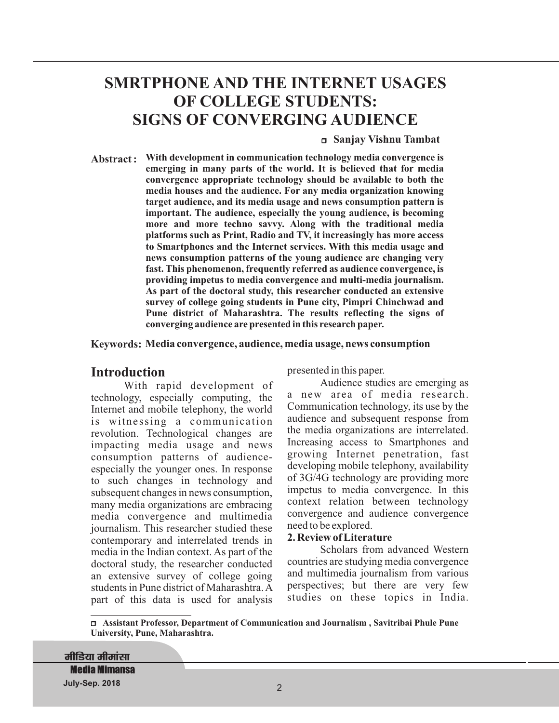# **SMRTPHONE AND THE INTERNET USAGES OF COLLEGE STUDENTS: SIGNS OF CONVERGING AUDIENCE**

#### <sup>r</sup> **Sanjay Vishnu Tambat**

**Abstract : With development in communication technology media convergence is emerging in many parts of the world. It is believed that for media convergence appropriate technology should be available to both the media houses and the audience. For any media organization knowing target audience, and its media usage and news consumption pattern is important. The audience, especially the young audience, is becoming more and more techno savvy. Along with the traditional media platforms such as Print, Radio and TV, it increasingly has more access to Smartphones and the Internet services. With this media usage and news consumption patterns of the young audience are changing very fast. This phenomenon, frequently referred as audience convergence, is providing impetus to media convergence and multi-media journalism. As part of the doctoral study, this researcher conducted an extensive survey of college going students in Pune city, Pimpri Chinchwad and Pune district of Maharashtra. The results reflecting the signs of converging audience are presented in this research paper.**

#### **Keywords: Media convergence, audience, media usage, news consumption**

# **Introduction**

With rapid development of technology, especially computing, the Internet and mobile telephony, the world is witnessing a communication revolution. Technological changes are impacting media usage and news consumption patterns of audienceespecially the younger ones. In response to such changes in technology and subsequent changes in news consumption, many media organizations are embracing media convergence and multimedia journalism. This researcher studied these contemporary and interrelated trends in media in the Indian context. As part of the doctoral study, the researcher conducted an extensive survey of college going students in Pune district of Maharashtra.A part of this data is used for analysis

presented in this paper.

Audience studies are emerging as a new area of media research. Communication technology, its use by the audience and subsequent response from the media organizations are interrelated. Increasing access to Smartphones and growing Internet penetration, fast developing mobile telephony, availability of 3G/4G technology are providing more impetus to media convergence. In this context relation between technology convergence and audience convergence need to be explored.

#### **2. Review of Literature**

Scholars from advanced Western countries are studying media convergence and multimedia journalism from various perspectives; but there are very few studies on these topics in India.

<sup>r</sup> **Assistant Professor, Department of Communication and Journalism , Savitribai Phule Pune University, Pune, Maharashtra.**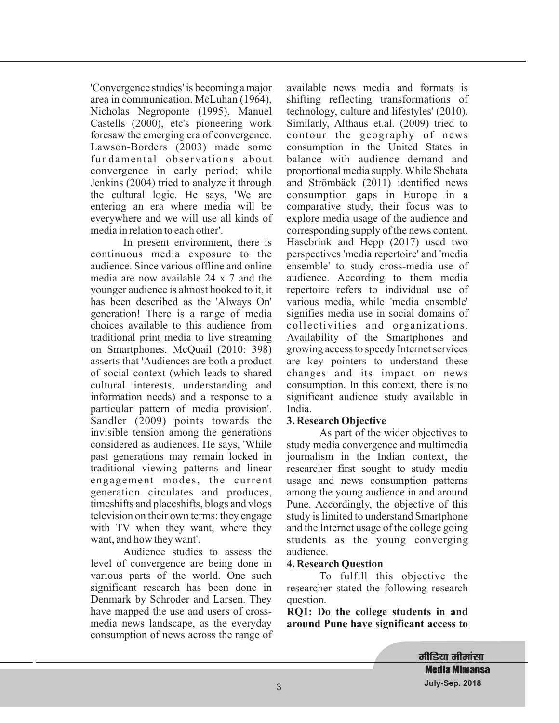'Convergence studies' is becoming a major area in communication. McLuhan (1964), Nicholas Negroponte (1995), Manuel Castells (2000), etc's pioneering work foresaw the emerging era of convergence. Lawson-Borders (2003) made some fundamental observations about convergence in early period; while Jenkins (2004) tried to analyze it through the cultural logic. He says, 'We are entering an era where media will be everywhere and we will use all kinds of media in relation to each other'.

In present environment, there is continuous media exposure to the audience. Since various offline and online media are now available 24 x 7 and the younger audience is almost hooked to it, it has been described as the 'Always On' generation! There is a range of media choices available to this audience from traditional print media to live streaming on Smartphones. McQuail (2010: 398) asserts that 'Audiences are both a product of social context (which leads to shared cultural interests, understanding and information needs) and a response to a particular pattern of media provision'. Sandler (2009) points towards the invisible tension among the generations considered as audiences. He says, 'While past generations may remain locked in traditional viewing patterns and linear engagement modes, the current generation circulates and produces, timeshifts and placeshifts, blogs and vlogs television on their own terms: they engage with TV when they want, where they want, and how they want'.

Audience studies to assess the level of convergence are being done in various parts of the world. One such significant research has been done in Denmark by Schroder and Larsen. They have mapped the use and users of crossmedia news landscape, as the everyday consumption of news across the range of available news media and formats is shifting reflecting transformations of technology, culture and lifestyles' (2010). Similarly, Althaus et.al. (2009) tried to contour the geography of news consumption in the United States in balance with audience demand and proportional media supply. While Shehata and Strömbäck (2011) identified news consumption gaps in Europe in a comparative study, their focus was to explore media usage of the audience and corresponding supply of the news content. Hasebrink and Hepp (2017) used two perspectives 'media repertoire' and 'media ensemble' to study cross-media use of audience. According to them media repertoire refers to individual use of various media, while 'media ensemble' signifies media use in social domains of collectivities and organizations. Availability of the Smartphones and growing access to speedy Internet services are key pointers to understand these changes and its impact on news consumption. In this context, there is no significant audience study available in India.

# **3. Research Objective**

As part of the wider objectives to study media convergence and multimedia journalism in the Indian context, the researcher first sought to study media usage and news consumption patterns among the young audience in and around Pune. Accordingly, the objective of this study is limited to understand Smartphone and the Internet usage of the college going students as the young converging audience.

#### **4. Research Question**

To fulfill this objective the researcher stated the following research question.

**RQ1: Do the college students in and around Pune have significant access to**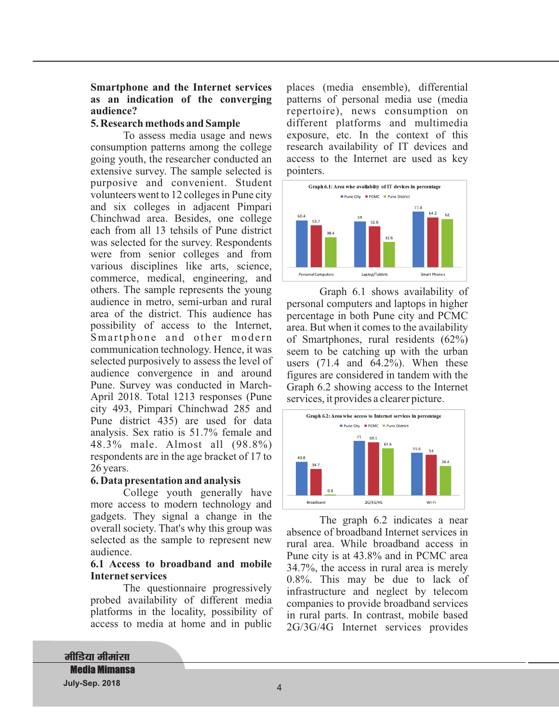## **Smartphone and the Internet services as an indication of the converging audience?**

## **5. Research methods and Sample**

To assess media usage and news consumption patterns among the college going youth, the researcher conducted an extensive survey. The sample selected is purposive and convenient. Student volunteers went to 12 colleges in Pune city and six colleges in adjacent Pimpari Chinchwad area. Besides, one college each from all 13 tehsils of Pune district was selected for the survey. Respondents were from senior colleges and from various disciplines like arts, science, commerce, medical, engineering, and others. The sample represents the young audience in metro, semi-urban and rural area of the district. This audience has possibility of access to the Internet, Smartphone and other modern communication technology. Hence, it was selected purposively to assess the level of audience convergence in and around Pune. Survey was conducted in March-April 2018. Total 1213 responses (Pune city 493, Pimpari Chinchwad 285 and Pune district 435) are used for data analysis. Sex ratio is 51.7% female and 48.3% male. Almost all (98.8%) respondents are in the age bracket of 17 to 26 years.

# **6. Data presentation and analysis**

College youth generally have more access to modern technology and gadgets. They signal a change in the overall society. That's why this group was selected as the sample to represent new audience.

#### **6.1 Access to broadband and mobile Internet services**

The questionnaire progressively probed availability of different media platforms in the locality, possibility of access to media at home and in public

places (media ensemble), differential patterns of personal media use (media repertoire), news consumption on different platforms and multimedia exposure, etc. In the context of this research availability of IT devices and access to the Internet are used as key pointers.



Graph 6.1 shows availability of personal computers and laptops in higher percentage in both Pune city and PCMC area. But when it comes to the availability of Smartphones, rural residents (62%) seem to be catching up with the urban users  $(71.4 \text{ and } 64.2\%)$ . When these figures are considered in tandem with the Graph 6.2 showing access to the Internet services, it provides a clearer picture.



The graph 6.2 indicates a near absence of broadband Internet services in rural area. While broadband access in Pune city is at 43.8% and in PCMC area 34.7%, the access in rural area is merely 0.8%. This may be due to lack of infrastructure and neglect by telecom companies to provide broadband services in rural parts. In contrast, mobile based 2G/3G/4G Internet services provides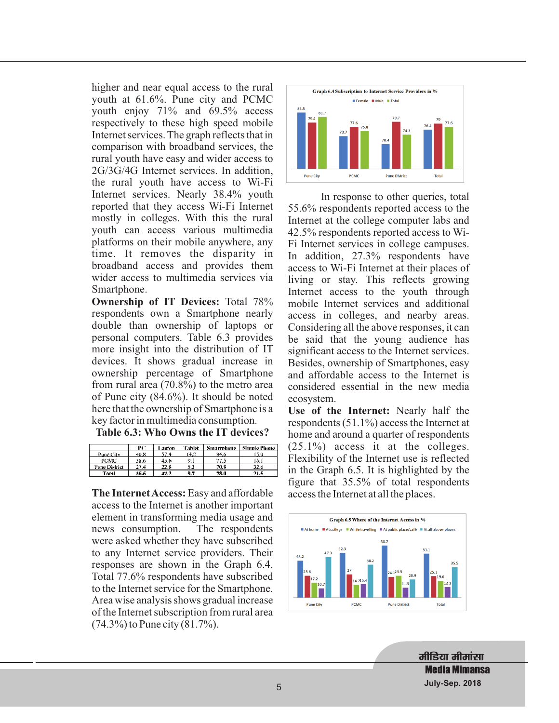higher and near equal access to the rural youth at 61.6%. Pune city and PCMC youth enjoy 71% and 69.5% access respectively to these high speed mobile Internet services. The graph reflects that in comparison with broadband services, the rural youth have easy and wider access to 2G/3G/4G Internet services. In addition, the rural youth have access to Wi-Fi Internet services. Nearly 38.4% youth reported that they access Wi-Fi Internet mostly in colleges. With this the rural youth can access various multimedia platforms on their mobile anywhere, any time. It removes the disparity in broadband access and provides them wider access to multimedia services via Smartphone.

**Ownership of IT Devices:** Total 78% respondents own a Smartphone nearly double than ownership of laptops or personal computers. Table 6.3 provides more insight into the distribution of IT devices. It shows gradual increase in ownership percentage of Smartphone from rural area (70.8%) to the metro area of Pune city (84.6%). It should be noted here that the ownership of Smartphone is a key factor in multimedia consumption.

**Table 6.3: Who Owns the IT devices?**

|               | PC.  | Lauton | Tabki | <b>Smartphene</b> | Simule Phane |
|---------------|------|--------|-------|-------------------|--------------|
| Punc City     | 40.8 | -57.4  | 14.2  | 84.6              | 15.0         |
| <b>PCMC</b>   | 38.6 | 45.6   | 9.1   | 77.S              | 16 I         |
| Pune District | 27.4 | 22.8   | 53    | 70.8              | 32.6         |
| Total         | 35.5 | 42.2   | 9.7   | 78.D              | 21.5         |

The Internet Access: Easy and affordable access to the Internet is another important element in transforming media usage and news consumption. The respondents were asked whether they have subscribed to any Internet service providers. Their responses are shown in the Graph 6.4. Total 77.6% respondents have subscribed to the Internet service for the Smartphone. Area wise analysis shows gradual increase of the Internet subscription from rural area (74.3%) to Pune city (81.7%).



In response to other queries, total 55.6% respondents reported access to the Internet at the college computer labs and 42.5% respondents reported access to Wi-Fi Internet services in college campuses. In addition, 27.3% respondents have access to Wi-Fi Internet at their places of living or stay. This reflects growing Internet access to the youth through mobile Internet services and additional access in colleges, and nearby areas. Considering all the above responses, it can be said that the young audience has significant access to the Internet services. Besides, ownership of Smartphones, easy and affordable access to the Internet is considered essential in the new media ecosystem.

Use of the Internet: Nearly half the respondents (51.1%) access the Internet at home and around a quarter of respondents (25.1%) access it at the colleges. Flexibility of the Internet use is reflected in the Graph 6.5. It is highlighted by the figure that 35.5% of total respondents access the Internet at all the places.



मीडिया मीमांसा **Media Mimansa July-Sep. 2018** 5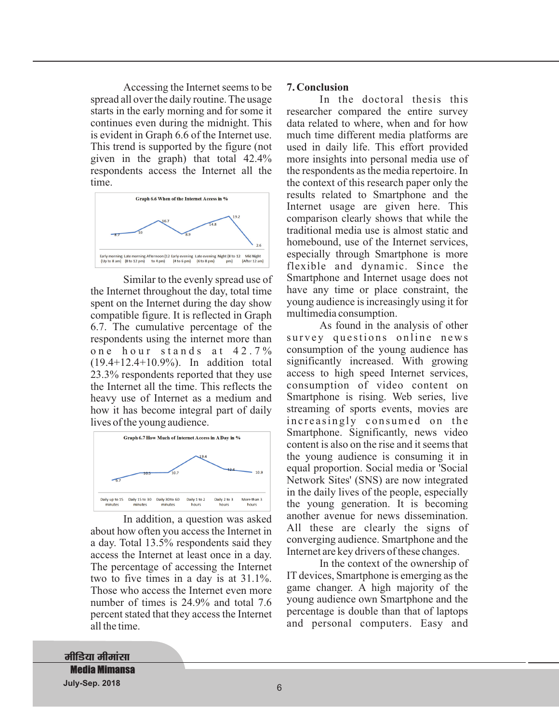Accessing the Internet seems to be spread all over the daily routine. The usage starts in the early morning and for some it continues even during the midnight. This is evident in Graph 6.6 of the Internet use. This trend is supported by the figure (not given in the graph) that total 42.4% respondents access the Internet all the time.



Similar to the evenly spread use of the Internet throughout the day, total time spent on the Internet during the day show compatible figure. It is reflected in Graph 6.7. The cumulative percentage of the respondents using the internet more than one hour stands at 42.7% (19.4+12.4+10.9%). In addition total 23.3% respondents reported that they use the Internet all the time. This reflects the heavy use of Internet as a medium and how it has become integral part of daily lives of the young audience.



In addition, a question was asked about how often you access the Internet in a day. Total 13.5% respondents said they access the Internet at least once in a day. The percentage of accessing the Internet two to five times in a day is at 31.1%. Those who access the Internet even more number of times is 24.9% and total 7.6 percent stated that they access the Internet all the time.

## **7. Conclusion**

In the doctoral thesis this researcher compared the entire survey data related to where, when and for how much time different media platforms are used in daily life. This effort provided more insights into personal media use of the respondents as the media repertoire. In the context of this research paper only the results related to Smartphone and the Internet usage are given here. This comparison clearly shows that while the traditional media use is almost static and homebound, use of the Internet services, especially through Smartphone is more flexible and dynamic. Since the Smartphone and Internet usage does not have any time or place constraint, the young audience is increasingly using it for multimedia consumption.

As found in the analysis of other survey questions online news consumption of the young audience has significantly increased. With growing access to high speed Internet services, consumption of video content on Smartphone is rising. Web series, live streaming of sports events, movies are increasingly consumed on the Smartphone. Significantly, news video content is also on the rise and it seems that the young audience is consuming it in equal proportion. Social media or 'Social Network Sites' (SNS) are now integrated in the daily lives of the people, especially the young generation. It is becoming another avenue for news dissemination. All these are clearly the signs of converging audience. Smartphone and the Internet are key drivers of these changes.

In the context of the ownership of IT devices, Smartphone is emerging as the game changer. A high majority of the young audience own Smartphone and the percentage is double than that of laptops and personal computers. Easy and

**मीडिया मीमांसा Media Mimansa July-Sep. 2018** 6